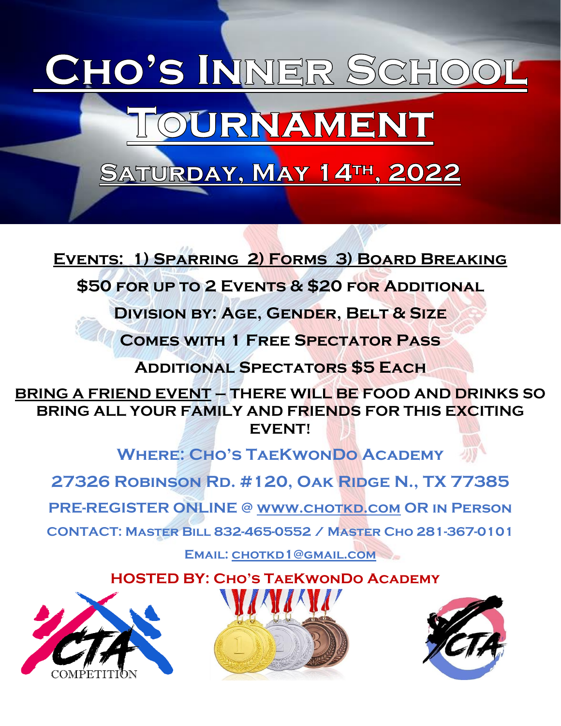## CHO'S INNER SCHO OURNAMEN SATURDAY, MAY 14TH, 2022

**Events: 1) Sparring 2) Forms 3) Board Breaking**

**\$50 for up to 2 Events & \$20 for Additional**

**Division by: Age, Gender, Belt & Size**

**Comes with 1 Free Spectator Pass**

**Additional Spectators \$5 Each**

**BRING A FRIEND EVENT – THERE WILL BE FOOD AND DRINKS SO BRING ALL YOUR FAMILY AND FRIENDS FOR THIS EXCITING EVENT!**

**Where: Cho's TaeKwonDo Academy**

**27326 Robinson Rd. #120, Oak Ridge N., TX 77385 PRE-REGISTER ONLINE @ [www.chotkd.com](http://www.chotkd.com/) OR in Person CONTACT: Master Bill 832-465-0552 / Master Cho 281-367-0101** 

**Email: [chotkd1@gmail.com](mailto:chotkd1@gmail.com)**

 **HOSTED BY: Cho's TaeKwonDo Academy**